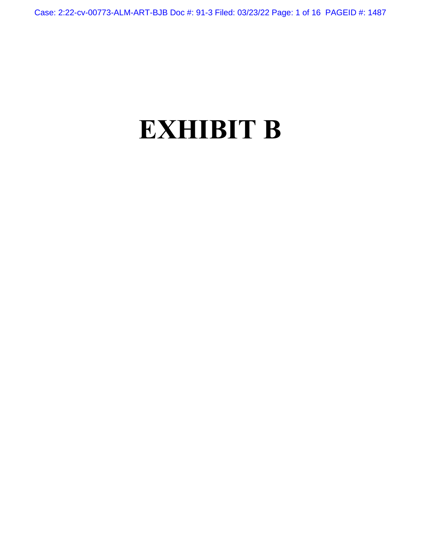Case: 2:22-cv-00773-ALM-ART-BJB Doc #: 91-3 Filed: 03/23/22 Page: 1 of 16 PAGEID #: 1487

# **EXHIBIT B**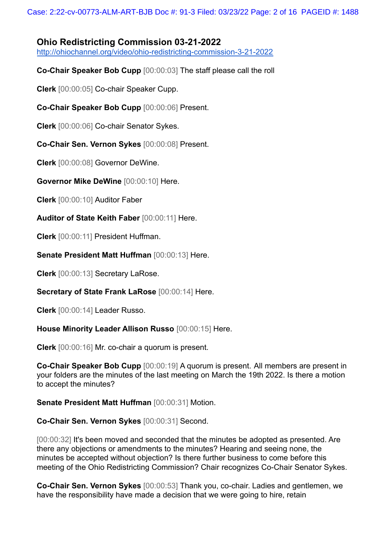## **Ohio Redistricting Commission 03-21-2022**

<http://ohiochannel.org/video/ohio-redistricting-commission-3-21-2022>

**Co-Chair Speaker Bob Cupp** [00:00:03] The staff please call the roll

**Clerk** [00:00:05] Co-chair Speaker Cupp.

**Co-Chair Speaker Bob Cupp** [00:00:06] Present.

**Clerk** [00:00:06] Co-chair Senator Sykes.

**Co-Chair Sen. Vernon Sykes** [00:00:08] Present.

**Clerk** [00:00:08] Governor DeWine.

**Governor Mike DeWine** [00:00:10] Here.

**Clerk** [00:00:10] Auditor Faber

**Auditor of State Keith Faber** [00:00:11] Here.

**Clerk** [00:00:11] President Huffman.

**Senate President Matt Huffman** [00:00:13] Here.

**Clerk** [00:00:13] Secretary LaRose.

**Secretary of State Frank LaRose** [00:00:14] Here.

**Clerk** [00:00:14] Leader Russo.

**House Minority Leader Allison Russo** [00:00:15] Here.

**Clerk** [00:00:16] Mr. co-chair a quorum is present.

**Co-Chair Speaker Bob Cupp** [00:00:19] A quorum is present. All members are present in your folders are the minutes of the last meeting on March the 19th 2022. Is there a motion to accept the minutes?

**Senate President Matt Huffman** [00:00:31] Motion.

**Co-Chair Sen. Vernon Sykes** [00:00:31] Second.

[00:00:32] It's been moved and seconded that the minutes be adopted as presented. Are there any objections or amendments to the minutes? Hearing and seeing none, the minutes be accepted without objection? Is there further business to come before this meeting of the Ohio Redistricting Commission? Chair recognizes Co-Chair Senator Sykes.

**Co-Chair Sen. Vernon Sykes** [00:00:53] Thank you, co-chair. Ladies and gentlemen, we have the responsibility have made a decision that we were going to hire, retain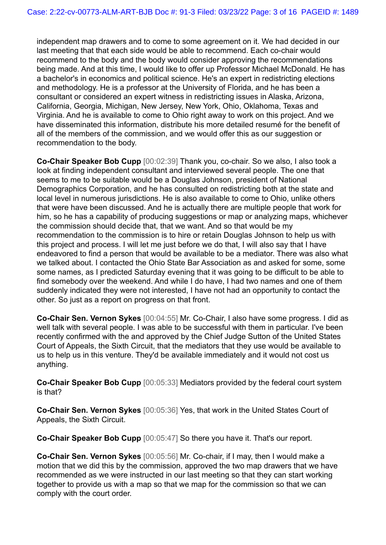independent map drawers and to come to some agreement on it. We had decided in our last meeting that that each side would be able to recommend. Each co-chair would recommend to the body and the body would consider approving the recommendations being made. And at this time, I would like to offer up Professor Michael McDonald. He has a bachelor's in economics and political science. He's an expert in redistricting elections and methodology. He is a professor at the University of Florida, and he has been a consultant or considered an expert witness in redistricting issues in Alaska, Arizona, California, Georgia, Michigan, New Jersey, New York, Ohio, Oklahoma, Texas and Virginia. And he is available to come to Ohio right away to work on this project. And we have disseminated this information, distribute his more detailed resumé for the benefit of all of the members of the commission, and we would offer this as our suggestion or recommendation to the body.

**Co-Chair Speaker Bob Cupp** [00:02:39] Thank you, co-chair. So we also, I also took a look at finding independent consultant and interviewed several people. The one that seems to me to be suitable would be a Douglas Johnson, president of National Demographics Corporation, and he has consulted on redistricting both at the state and local level in numerous jurisdictions. He is also available to come to Ohio, unlike others that were have been discussed. And he is actually there are multiple people that work for him, so he has a capability of producing suggestions or map or analyzing maps, whichever the commission should decide that, that we want. And so that would be my recommendation to the commission is to hire or retain Douglas Johnson to help us with this project and process. I will let me just before we do that, I will also say that I have endeavored to find a person that would be available to be a mediator. There was also what we talked about. I contacted the Ohio State Bar Association as and asked for some, some some names, as I predicted Saturday evening that it was going to be difficult to be able to find somebody over the weekend. And while I do have, I had two names and one of them suddenly indicated they were not interested, I have not had an opportunity to contact the other. So just as a report on progress on that front.

**Co-Chair Sen. Vernon Sykes** [00:04:55] Mr. Co-Chair, I also have some progress. I did as well talk with several people. I was able to be successful with them in particular. I've been recently confirmed with the and approved by the Chief Judge Sutton of the United States Court of Appeals, the Sixth Circuit, that the mediators that they use would be available to us to help us in this venture. They'd be available immediately and it would not cost us anything.

**Co-Chair Speaker Bob Cupp** [00:05:33] Mediators provided by the federal court system is that?

**Co-Chair Sen. Vernon Sykes** [00:05:36] Yes, that work in the United States Court of Appeals, the Sixth Circuit.

**Co-Chair Speaker Bob Cupp** [00:05:47] So there you have it. That's our report.

**Co-Chair Sen. Vernon Sykes** [00:05:56] Mr. Co-chair, if I may, then I would make a motion that we did this by the commission, approved the two map drawers that we have recommended as we were instructed in our last meeting so that they can start working together to provide us with a map so that we map for the commission so that we can comply with the court order.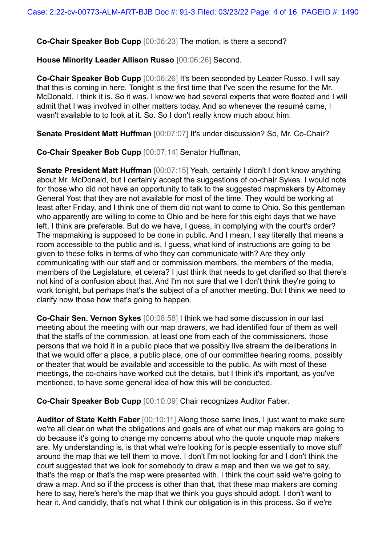**Co-Chair Speaker Bob Cupp** [00:06:23] The motion, is there a second?

**House Minority Leader Allison Russo** [00:06:26] Second.

**Co-Chair Speaker Bob Cupp** [00:06:26] It's been seconded by Leader Russo. I will say that this is coming in here. Tonight is the first time that I've seen the resume for the Mr. McDonald, I think it is. So it was. I know we had several experts that were floated and I will admit that I was involved in other matters today. And so whenever the resumé came, I wasn't available to to look at it. So. So I don't really know much about him.

**Senate President Matt Huffman** [00:07:07] It's under discussion? So, Mr. Co-Chair?

**Co-Chair Speaker Bob Cupp** [00:07:14] Senator Huffman,

**Senate President Matt Huffman** [00:07:15] Yeah, certainly I didn't I don't know anything about Mr. McDonald, but I certainly accept the suggestions of co-chair Sykes. I would note for those who did not have an opportunity to talk to the suggested mapmakers by Attorney General Yost that they are not available for most of the time. They would be working at least after Friday, and I think one of them did not want to come to Ohio. So this gentleman who apparently are willing to come to Ohio and be here for this eight days that we have left, I think are preferable. But do we have, I guess, in complying with the court's order? The mapmaking is supposed to be done in public. And I mean, I say literally that means a room accessible to the public and is, I guess, what kind of instructions are going to be given to these folks in terms of who they can communicate with? Are they only communicating with our staff and or commission members, the members of the media, members of the Legislature, et cetera? I just think that needs to get clarified so that there's not kind of a confusion about that. And I'm not sure that we I don't think they're going to work tonight, but perhaps that's the subject of a of another meeting. But I think we need to clarify how those how that's going to happen.

**Co-Chair Sen. Vernon Sykes** [00:08:58] I think we had some discussion in our last meeting about the meeting with our map drawers, we had identified four of them as well that the staffs of the commission, at least one from each of the commissioners, those persons that we hold it in a public place that we possibly live stream the deliberations in that we would offer a place, a public place, one of our committee hearing rooms, possibly or theater that would be available and accessible to the public. As with most of these meetings, the co-chairs have worked out the details, but I think it's important, as you've mentioned, to have some general idea of how this will be conducted.

**Co-Chair Speaker Bob Cupp** [00:10:09] Chair recognizes Auditor Faber.

**Auditor of State Keith Faber** [00:10:11] Along those same lines, I just want to make sure we're all clear on what the obligations and goals are of what our map makers are going to do because it's going to change my concerns about who the quote unquote map makers are. My understanding is, is that what we're looking for is people essentially to move stuff around the map that we tell them to move. I don't I'm not looking for and I don't think the court suggested that we look for somebody to draw a map and then we we get to say, that's the map or that's the map were presented with. I think the court said we're going to draw a map. And so if the process is other than that, that these map makers are coming here to say, here's here's the map that we think you guys should adopt. I don't want to hear it. And candidly, that's not what I think our obligation is in this process. So if we're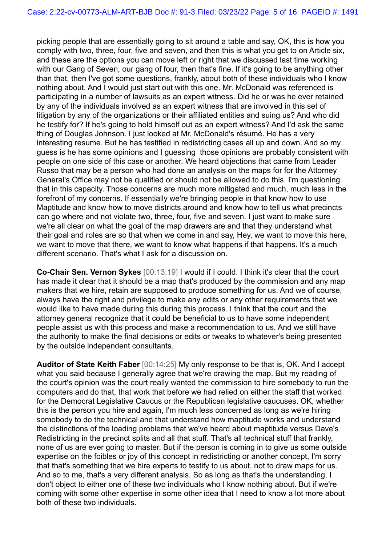picking people that are essentially going to sit around a table and say, OK, this is how you comply with two, three, four, five and seven, and then this is what you get to on Article six, and these are the options you can move left or right that we discussed last time working with our Gang of Seven, our gang of four, then that's fine. If it's going to be anything other than that, then I've got some questions, frankly, about both of these individuals who I know nothing about. And I would just start out with this one. Mr. McDonald was referenced is participating in a number of lawsuits as an expert witness. Did he or was he ever retained by any of the individuals involved as an expert witness that are involved in this set of litigation by any of the organizations or their affiliated entities and suing us? And who did he testify for? If he's going to hold himself out as an expert witness? And I'd ask the same thing of Douglas Johnson. I just looked at Mr. McDonald's résumé. He has a very interesting resume. But he has testified in redistricting cases all up and down. And so my guess is he has some opinions and I guessing those opinions are probably consistent with people on one side of this case or another. We heard objections that came from Leader Russo that may be a person who had done an analysis on the maps for for the Attorney General's Office may not be qualified or should not be allowed to do this. I'm questioning that in this capacity. Those concerns are much more mitigated and much, much less in the forefront of my concerns. If essentially we're bringing people in that know how to use Maptitude and know how to move districts around and know how to tell us what precincts can go where and not violate two, three, four, five and seven. I just want to make sure we're all clear on what the goal of the map drawers are and that they understand what their goal and roles are so that when we come in and say, Hey, we want to move this here, we want to move that there, we want to know what happens if that happens. It's a much different scenario. That's what I ask for a discussion on.

**Co-Chair Sen. Vernon Sykes** [00:13:19] I would if I could. I think it's clear that the court has made it clear that it should be a map that's produced by the commission and any map makers that we hire, retain are supposed to produce something for us. And we of course, always have the right and privilege to make any edits or any other requirements that we would like to have made during this during this process. I think that the court and the attorney general recognize that it could be beneficial to us to have some independent people assist us with this process and make a recommendation to us. And we still have the authority to make the final decisions or edits or tweaks to whatever's being presented by the outside independent consultants.

**Auditor of State Keith Faber** [00:14:25] My only response to be that is, OK. And I accept what you said because I generally agree that we're drawing the map. But my reading of the court's opinion was the court really wanted the commission to hire somebody to run the computers and do that, that work that before we had relied on either the staff that worked for the Democrat Legislative Caucus or the Republican legislative caucuses. OK, whether this is the person you hire and again, I'm much less concerned as long as we're hiring somebody to do the technical and that understand how maptitude works and understand the distinctions of the loading problems that we've heard about maptitude versus Dave's Redistricting in the precinct splits and all that stuff. That's all technical stuff that frankly, none of us are ever going to master. But if the person is coming in to give us some outside expertise on the foibles or joy of this concept in redistricting or another concept, I'm sorry that that's something that we hire experts to testify to us about, not to draw maps for us. And so to me, that's a very different analysis. So as long as that's the understanding, I don't object to either one of these two individuals who I know nothing about. But if we're coming with some other expertise in some other idea that I need to know a lot more about both of these two individuals.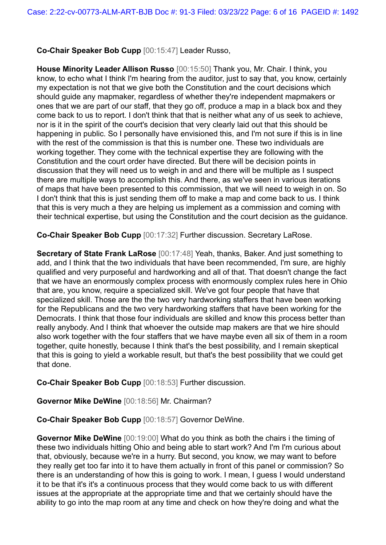### **Co-Chair Speaker Bob Cupp** [00:15:47] Leader Russo,

**House Minority Leader Allison Russo** [00:15:50] Thank you, Mr. Chair. I think, you know, to echo what I think I'm hearing from the auditor, just to say that, you know, certainly my expectation is not that we give both the Constitution and the court decisions which should guide any mapmaker, regardless of whether they're independent mapmakers or ones that we are part of our staff, that they go off, produce a map in a black box and they come back to us to report. I don't think that that is neither what any of us seek to achieve, nor is it in the spirit of the court's decision that very clearly laid out that this should be happening in public. So I personally have envisioned this, and I'm not sure if this is in line with the rest of the commission is that this is number one. These two individuals are working together. They come with the technical expertise they are following with the Constitution and the court order have directed. But there will be decision points in discussion that they will need us to weigh in and and there will be multiple as I suspect there are multiple ways to accomplish this. And there, as we've seen in various iterations of maps that have been presented to this commission, that we will need to weigh in on. So I don't think that this is just sending them off to make a map and come back to us. I think that this is very much a they are helping us implement as a commission and coming with their technical expertise, but using the Constitution and the court decision as the guidance.

**Co-Chair Speaker Bob Cupp** [00:17:32] Further discussion. Secretary LaRose.

**Secretary of State Frank LaRose** [00:17:48] Yeah, thanks, Baker. And just something to add, and I think that the two individuals that have been recommended, I'm sure, are highly qualified and very purposeful and hardworking and all of that. That doesn't change the fact that we have an enormously complex process with enormously complex rules here in Ohio that are, you know, require a specialized skill. We've got four people that have that specialized skill. Those are the the two very hardworking staffers that have been working for the Republicans and the two very hardworking staffers that have been working for the Democrats. I think that those four individuals are skilled and know this process better than really anybody. And I think that whoever the outside map makers are that we hire should also work together with the four staffers that we have maybe even all six of them in a room together, quite honestly, because I think that's the best possibility, and I remain skeptical that this is going to yield a workable result, but that's the best possibility that we could get that done.

**Co-Chair Speaker Bob Cupp** [00:18:53] Further discussion.

**Governor Mike DeWine** [00:18:56] Mr. Chairman?

**Co-Chair Speaker Bob Cupp** [00:18:57] Governor DeWine.

**Governor Mike DeWine** [00:19:00] What do you think as both the chairs i the timing of these two individuals hitting Ohio and being able to start work? And I'm I'm curious about that, obviously, because we're in a hurry. But second, you know, we may want to before they really get too far into it to have them actually in front of this panel or commission? So there is an understanding of how this is going to work. I mean, I guess I would understand it to be that it's it's a continuous process that they would come back to us with different issues at the appropriate at the appropriate time and that we certainly should have the ability to go into the map room at any time and check on how they're doing and what the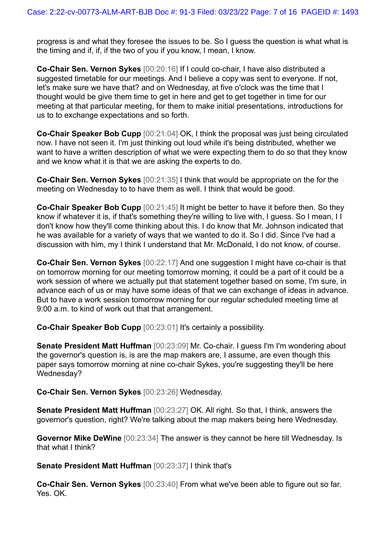progress is and what they foresee the issues to be. So I guess the question is what what is the timing and if, if, if the two of you if you know, I mean, I know.

**Co-Chair Sen. Vernon Sykes** [00:20:16] If I could co-chair, I have also distributed a suggested timetable for our meetings. And I believe a copy was sent to everyone. If not, let's make sure we have that? and on Wednesday, at five o'clock was the time that I thought would be give them time to get in here and get to get together in time for our meeting at that particular meeting, for them to make initial presentations, introductions for us to to exchange expectations and so forth.

**Co-Chair Speaker Bob Cupp** [00:21:04] OK, I think the proposal was just being circulated now. I have not seen it. I'm just thinking out loud while it's being distributed, whether we want to have a written description of what we were expecting them to do so that they know and we know what it is that we are asking the experts to do.

**Co-Chair Sen. Vernon Sykes** [00:21:35] I think that would be appropriate on the for the meeting on Wednesday to to have them as well. I think that would be good.

**Co-Chair Speaker Bob Cupp** [00:21:45] It might be better to have it before then. So they know if whatever it is, if that's something they're willing to live with, I guess. So I mean, I I don't know how they'll come thinking about this. I do know that Mr. Johnson indicated that he was available for a variety of ways that we wanted to do it. So I did. Since I've had a discussion with him, my I think I understand that Mr. McDonald, I do not know, of course.

**Co-Chair Sen. Vernon Sykes** [00:22:17] And one suggestion I might have co-chair is that on tomorrow morning for our meeting tomorrow morning, it could be a part of it could be a work session of where we actually put that statement together based on some, I'm sure, in advance each of us or may have some ideas of that we can exchange of ideas in advance. But to have a work session tomorrow morning for our regular scheduled meeting time at 9:00 a.m. to kind of work out that that arrangement.

**Co-Chair Speaker Bob Cupp** [00:23:01] It's certainly a possibility.

**Senate President Matt Huffman** [00:23:09] Mr. Co-chair. I guess I'm I'm wondering about the governor's question is, is are the map makers are, I assume, are even though this paper says tomorrow morning at nine co-chair Sykes, you're suggesting they'll be here Wednesday?

**Co-Chair Sen. Vernon Sykes** [00:23:26] Wednesday.

**Senate President Matt Huffman** [00:23:27] OK. All right. So that, I think, answers the governor's question, right? We're talking about the map makers being here Wednesday.

**Governor Mike DeWine** [00:23:34] The answer is they cannot be here till Wednesday. Is that what I think?

**Senate President Matt Huffman** [00:23:37] I think that's

**Co-Chair Sen. Vernon Sykes** [00:23:40] From what we've been able to figure out so far. Yes. OK.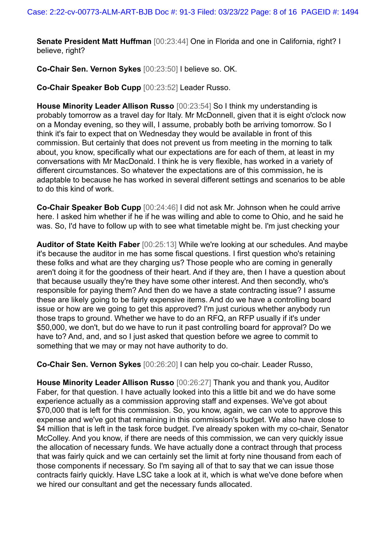**Senate President Matt Huffman** [00:23:44] One in Florida and one in California, right? I believe, right?

**Co-Chair Sen. Vernon Sykes** [00:23:50] I believe so. OK.

**Co-Chair Speaker Bob Cupp** [00:23:52] Leader Russo.

**House Minority Leader Allison Russo** [00:23:54] So I think my understanding is probably tomorrow as a travel day for Italy. Mr McDonnell, given that it is eight o'clock now on a Monday evening, so they will, I assume, probably both be arriving tomorrow. So I think it's fair to expect that on Wednesday they would be available in front of this commission. But certainly that does not prevent us from meeting in the morning to talk about, you know, specifically what our expectations are for each of them, at least in my conversations with Mr MacDonald. I think he is very flexible, has worked in a variety of different circumstances. So whatever the expectations are of this commission, he is adaptable to because he has worked in several different settings and scenarios to be able to do this kind of work.

**Co-Chair Speaker Bob Cupp** [00:24:46] I did not ask Mr. Johnson when he could arrive here. I asked him whether if he if he was willing and able to come to Ohio, and he said he was. So, I'd have to follow up with to see what timetable might be. I'm just checking your

**Auditor of State Keith Faber** [00:25:13] While we're looking at our schedules. And maybe it's because the auditor in me has some fiscal questions. I first question who's retaining these folks and what are they charging us? Those people who are coming in generally aren't doing it for the goodness of their heart. And if they are, then I have a question about that because usually they're they have some other interest. And then secondly, who's responsible for paying them? And then do we have a state contracting issue? I assume these are likely going to be fairly expensive items. And do we have a controlling board issue or how are we going to get this approved? I'm just curious whether anybody run those traps to ground. Whether we have to do an RFQ, an RFP usually if it's under \$50,000, we don't, but do we have to run it past controlling board for approval? Do we have to? And, and, and so I just asked that question before we agree to commit to something that we may or may not have authority to do.

**Co-Chair Sen. Vernon Sykes** [00:26:20] I can help you co-chair. Leader Russo,

**House Minority Leader Allison Russo** [00:26:27] Thank you and thank you, Auditor Faber, for that question. I have actually looked into this a little bit and we do have some experience actually as a commission approving staff and expenses. We've got about \$70,000 that is left for this commission. So, you know, again, we can vote to approve this expense and we've got that remaining in this commission's budget. We also have close to \$4 million that is left in the task force budget. I've already spoken with my co-chair, Senator McColley. And you know, if there are needs of this commission, we can very quickly issue the allocation of necessary funds. We have actually done a contract through that process that was fairly quick and we can certainly set the limit at forty nine thousand from each of those components if necessary. So I'm saying all of that to say that we can issue those contracts fairly quickly. Have LSC take a look at it, which is what we've done before when we hired our consultant and get the necessary funds allocated.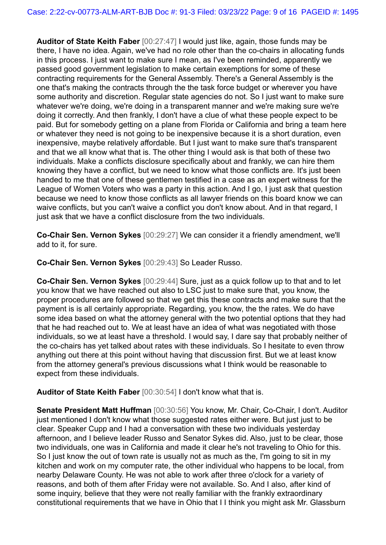**Auditor of State Keith Faber** [00:27:47] I would just like, again, those funds may be there, I have no idea. Again, we've had no role other than the co-chairs in allocating funds in this process. I just want to make sure I mean, as I've been reminded, apparently we passed good government legislation to make certain exemptions for some of these contracting requirements for the General Assembly. There's a General Assembly is the one that's making the contracts through the the task force budget or wherever you have some authority and discretion. Regular state agencies do not. So I just want to make sure whatever we're doing, we're doing in a transparent manner and we're making sure we're doing it correctly. And then frankly, I don't have a clue of what these people expect to be paid. But for somebody getting on a plane from Florida or California and bring a team here or whatever they need is not going to be inexpensive because it is a short duration, even inexpensive, maybe relatively affordable. But I just want to make sure that's transparent and that we all know what that is. The other thing I would ask is that both of these two individuals. Make a conflicts disclosure specifically about and frankly, we can hire them knowing they have a conflict, but we need to know what those conflicts are. It's just been handed to me that one of these gentlemen testified in a case as an expert witness for the League of Women Voters who was a party in this action. And I go, I just ask that question because we need to know those conflicts as all lawyer friends on this board know we can waive conflicts, but you can't waive a conflict you don't know about. And in that regard, I just ask that we have a conflict disclosure from the two individuals.

**Co-Chair Sen. Vernon Sykes** [00:29:27] We can consider it a friendly amendment, we'll add to it, for sure.

**Co-Chair Sen. Vernon Sykes** [00:29:43] So Leader Russo.

**Co-Chair Sen. Vernon Sykes** [00:29:44] Sure, just as a quick follow up to that and to let you know that we have reached out also to LSC just to make sure that, you know, the proper procedures are followed so that we get this these contracts and make sure that the payment is is all certainly appropriate. Regarding, you know, the the rates. We do have some idea based on what the attorney general with the two potential options that they had that he had reached out to. We at least have an idea of what was negotiated with those individuals, so we at least have a threshold. I would say, I dare say that probably neither of the co-chairs has yet talked about rates with these individuals. So I hesitate to even throw anything out there at this point without having that discussion first. But we at least know from the attorney general's previous discussions what I think would be reasonable to expect from these individuals.

**Auditor of State Keith Faber** [00:30:54] I don't know what that is.

**Senate President Matt Huffman** [00:30:56] You know, Mr. Chair, Co-Chair, I don't. Auditor just mentioned I don't know what those suggested rates either were. But just just to be clear. Speaker Cupp and I had a conversation with these two individuals yesterday afternoon, and I believe leader Russo and Senator Sykes did. Also, just to be clear, those two individuals, one was in California and made it clear he's not traveling to Ohio for this. So I just know the out of town rate is usually not as much as the, I'm going to sit in my kitchen and work on my computer rate, the other individual who happens to be local, from nearby Delaware County. He was not able to work after three o'clock for a variety of reasons, and both of them after Friday were not available. So. And I also, after kind of some inquiry, believe that they were not really familiar with the frankly extraordinary constitutional requirements that we have in Ohio that I I think you might ask Mr. Glassburn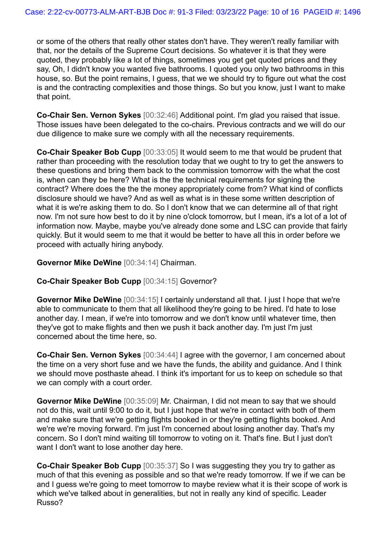or some of the others that really other states don't have. They weren't really familiar with that, nor the details of the Supreme Court decisions. So whatever it is that they were quoted, they probably like a lot of things, sometimes you get get quoted prices and they say, Oh, I didn't know you wanted five bathrooms. I quoted you only two bathrooms in this house, so. But the point remains, I guess, that we we should try to figure out what the cost is and the contracting complexities and those things. So but you know, just I want to make that point.

**Co-Chair Sen. Vernon Sykes** [00:32:46] Additional point. I'm glad you raised that issue. Those issues have been delegated to the co-chairs. Previous contracts and we will do our due diligence to make sure we comply with all the necessary requirements.

**Co-Chair Speaker Bob Cupp** [00:33:05] It would seem to me that would be prudent that rather than proceeding with the resolution today that we ought to try to get the answers to these questions and bring them back to the commission tomorrow with the what the cost is, when can they be here? What is the the technical requirements for signing the contract? Where does the the the money appropriately come from? What kind of conflicts disclosure should we have? And as well as what is in these some written description of what it is we're asking them to do. So I don't know that we can determine all of that right now. I'm not sure how best to do it by nine o'clock tomorrow, but I mean, it's a lot of a lot of information now. Maybe, maybe you've already done some and LSC can provide that fairly quickly. But it would seem to me that it would be better to have all this in order before we proceed with actually hiring anybody.

#### **Governor Mike DeWine** [00:34:14] Chairman.

#### **Co-Chair Speaker Bob Cupp** [00:34:15] Governor?

**Governor Mike DeWine** [00:34:15] I certainly understand all that. I just I hope that we're able to communicate to them that all likelihood they're going to be hired. I'd hate to lose another day. I mean, if we're into tomorrow and we don't know until whatever time, then they've got to make flights and then we push it back another day. I'm just I'm just concerned about the time here, so.

**Co-Chair Sen. Vernon Sykes** [00:34:44] I agree with the governor, I am concerned about the time on a very short fuse and we have the funds, the ability and guidance. And I think we should move posthaste ahead. I think it's important for us to keep on schedule so that we can comply with a court order.

**Governor Mike DeWine** [00:35:09] Mr. Chairman, I did not mean to say that we should not do this, wait until 9:00 to do it, but I just hope that we're in contact with both of them and make sure that we're getting flights booked in or they're getting flights booked. And we're we're moving forward. I'm just I'm concerned about losing another day. That's my concern. So I don't mind waiting till tomorrow to voting on it. That's fine. But I just don't want I don't want to lose another day here.

**Co-Chair Speaker Bob Cupp** [00:35:37] So I was suggesting they you try to gather as much of that this evening as possible and so that we're ready tomorrow. If we if we can be and I guess we're going to meet tomorrow to maybe review what it is their scope of work is which we've talked about in generalities, but not in really any kind of specific. Leader Russo?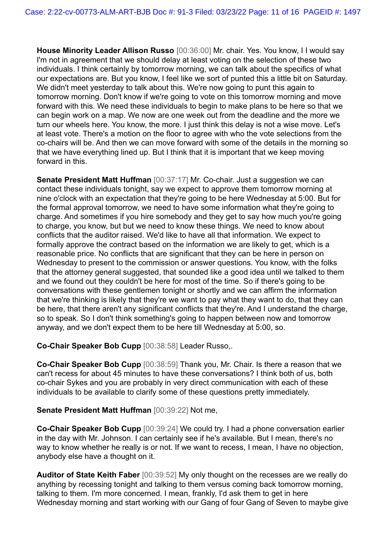**House Minority Leader Allison Russo** [00:36:00] Mr. chair. Yes. You know, I I would say I'm not in agreement that we should delay at least voting on the selection of these two individuals. I think certainly by tomorrow morning, we can talk about the specifics of what our expectations are. But you know, I feel like we sort of punted this a little bit on Saturday. We didn't meet yesterday to talk about this. We're now going to punt this again to tomorrow morning. Don't know if we're going to vote on this tomorrow morning and move forward with this. We need these individuals to begin to make plans to be here so that we can begin work on a map. We now are one week out from the deadline and the more we turn our wheels here. You know, the more. I just think this delay is not a wise move. Let's at least vote. There's a motion on the floor to agree with who the vote selections from the co-chairs will be. And then we can move forward with some of the details in the morning so that we have everything lined up. But I think that it is important that we keep moving forward in this.

**Senate President Matt Huffman** [00:37:17] Mr. Co-chair. Just a suggestion we can contact these individuals tonight, say we expect to approve them tomorrow morning at nine o'clock with an expectation that they're going to be here Wednesday at 5:00. But for the formal approval tomorrow, we need to have some information what they're going to charge. And sometimes if you hire somebody and they get to say how much you're going to charge, you know, but but we need to know these things. We need to know about conflicts that the auditor raised. We'd like to have all that information. We expect to formally approve the contract based on the information we are likely to get, which is a reasonable price. No conflicts that are significant that they can be here in person on Wednesday to present to the commission or answer questions. You know, with the folks that the attorney general suggested, that sounded like a good idea until we talked to them and we found out they couldn't be here for most of the time. So if there's going to be conversations with these gentlemen tonight or shortly and we can affirm the information that we're thinking is likely that they're we want to pay what they want to do, that they can be here, that there aren't any significant conflicts that they're. And I understand the charge, so to speak. So I don't think something's going to happen between now and tomorrow anyway, and we don't expect them to be here till Wednesday at 5:00, so.

**Co-Chair Speaker Bob Cupp** [00:38:58] Leader Russo,.

**Co-Chair Speaker Bob Cupp** [00:38:59] Thank you, Mr. Chair. Is there a reason that we can't recess for about 45 minutes to have these conversations? I think both of us, both co-chair Sykes and you are probably in very direct communication with each of these individuals to be available to clarify some of these questions pretty immediately.

#### **Senate President Matt Huffman** [00:39:22] Not me,

**Co-Chair Speaker Bob Cupp** [00:39:24] We could try. I had a phone conversation earlier in the day with Mr. Johnson. I can certainly see if he's available. But I mean, there's no way to know whether he really is or not. If we want to recess, I mean, I have no objection, anybody else have a thought on it.

**Auditor of State Keith Faber** [00:39:52] My only thought on the recesses are we really do anything by recessing tonight and talking to them versus coming back tomorrow morning, talking to them. I'm more concerned. I mean, frankly, I'd ask them to get in here Wednesday morning and start working with our Gang of four Gang of Seven to maybe give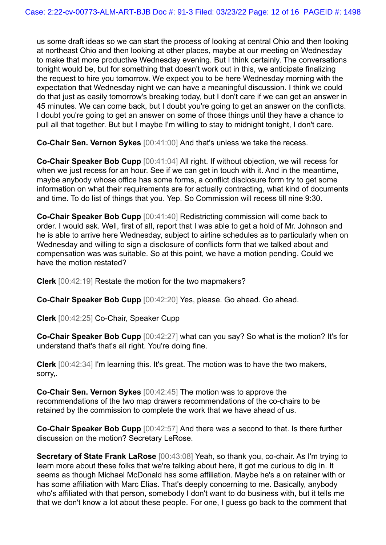us some draft ideas so we can start the process of looking at central Ohio and then looking at northeast Ohio and then looking at other places, maybe at our meeting on Wednesday to make that more productive Wednesday evening. But I think certainly. The conversations tonight would be, but for something that doesn't work out in this, we anticipate finalizing the request to hire you tomorrow. We expect you to be here Wednesday morning with the expectation that Wednesday night we can have a meaningful discussion. I think we could do that just as easily tomorrow's breaking today, but I don't care if we can get an answer in 45 minutes. We can come back, but I doubt you're going to get an answer on the conflicts. I doubt you're going to get an answer on some of those things until they have a chance to pull all that together. But but I maybe I'm willing to stay to midnight tonight, I don't care.

**Co-Chair Sen. Vernon Sykes** [00:41:00] And that's unless we take the recess.

**Co-Chair Speaker Bob Cupp** [00:41:04] All right. If without objection, we will recess for when we just recess for an hour. See if we can get in touch with it. And in the meantime, maybe anybody whose office has some forms, a conflict disclosure form try to get some information on what their requirements are for actually contracting, what kind of documents and time. To do list of things that you. Yep. So Commission will recess till nine 9:30.

**Co-Chair Speaker Bob Cupp** [00:41:40] Redistricting commission will come back to order. I would ask. Well, first of all, report that I was able to get a hold of Mr. Johnson and he is able to arrive here Wednesday, subject to airline schedules as to particularly when on Wednesday and willing to sign a disclosure of conflicts form that we talked about and compensation was was suitable. So at this point, we have a motion pending. Could we have the motion restated?

**Clerk** [00:42:19] Restate the motion for the two mapmakers?

**Co-Chair Speaker Bob Cupp** [00:42:20] Yes, please. Go ahead. Go ahead.

**Clerk** [00:42:25] Co-Chair, Speaker Cupp

**Co-Chair Speaker Bob Cupp** [00:42:27] what can you say? So what is the motion? It's for understand that's that's all right. You're doing fine.

**Clerk** [00:42:34] I'm learning this. It's great. The motion was to have the two makers, sorry,.

**Co-Chair Sen. Vernon Sykes** [00:42:45] The motion was to approve the recommendations of the two map drawers recommendations of the co-chairs to be retained by the commission to complete the work that we have ahead of us.

**Co-Chair Speaker Bob Cupp** [00:42:57] And there was a second to that. Is there further discussion on the motion? Secretary LeRose.

**Secretary of State Frank LaRose** [00:43:08] Yeah, so thank you, co-chair. As I'm trying to learn more about these folks that we're talking about here, it got me curious to dig in. It seems as though Michael McDonald has some affiliation. Maybe he's a on retainer with or has some affiliation with Marc Elias. That's deeply concerning to me. Basically, anybody who's affiliated with that person, somebody I don't want to do business with, but it tells me that we don't know a lot about these people. For one, I guess go back to the comment that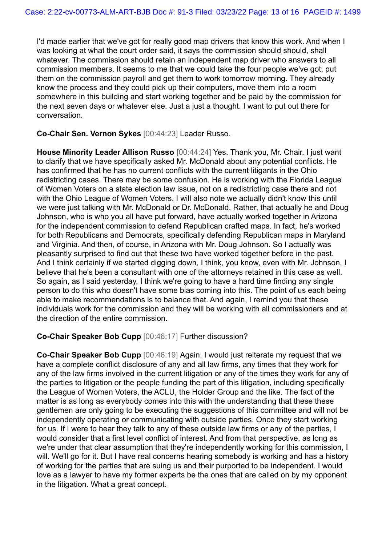I'd made earlier that we've got for really good map drivers that know this work. And when I was looking at what the court order said, it says the commission should should, shall whatever. The commission should retain an independent map driver who answers to all commission members. It seems to me that we could take the four people we've got, put them on the commission payroll and get them to work tomorrow morning. They already know the process and they could pick up their computers, move them into a room somewhere in this building and start working together and be paid by the commission for the next seven days or whatever else. Just a just a thought. I want to put out there for conversation.

**Co-Chair Sen. Vernon Sykes** [00:44:23] Leader Russo.

**House Minority Leader Allison Russo** [00:44:24] Yes. Thank you, Mr. Chair. I just want to clarify that we have specifically asked Mr. McDonald about any potential conflicts. He has confirmed that he has no current conflicts with the current litigants in the Ohio redistricting cases. There may be some confusion. He is working with the Florida League of Women Voters on a state election law issue, not on a redistricting case there and not with the Ohio League of Women Voters. I will also note we actually didn't know this until we were just talking with Mr. McDonald or Dr. McDonald. Rather, that actually he and Doug Johnson, who is who you all have put forward, have actually worked together in Arizona for the independent commission to defend Republican crafted maps. In fact, he's worked for both Republicans and Democrats, specifically defending Republican maps in Maryland and Virginia. And then, of course, in Arizona with Mr. Doug Johnson. So I actually was pleasantly surprised to find out that these two have worked together before in the past. And I think certainly if we started digging down, I think, you know, even with Mr. Johnson, I believe that he's been a consultant with one of the attorneys retained in this case as well. So again, as I said yesterday, I think we're going to have a hard time finding any single person to do this who doesn't have some bias coming into this. The point of us each being able to make recommendations is to balance that. And again, I remind you that these individuals work for the commission and they will be working with all commissioners and at the direction of the entire commission.

#### **Co-Chair Speaker Bob Cupp** [00:46:17] Further discussion?

**Co-Chair Speaker Bob Cupp** [00:46:19] Again, I would just reiterate my request that we have a complete conflict disclosure of any and all law firms, any times that they work for any of the law firms involved in the current litigation or any of the times they work for any of the parties to litigation or the people funding the part of this litigation, including specifically the League of Women Voters, the ACLU, the Holder Group and the like. The fact of the matter is as long as everybody comes into this with the understanding that these these gentlemen are only going to be executing the suggestions of this committee and will not be independently operating or communicating with outside parties. Once they start working for us. If I were to hear they talk to any of these outside law firms or any of the parties, I would consider that a first level conflict of interest. And from that perspective, as long as we're under that clear assumption that they're independently working for this commission, I will. We'll go for it. But I have real concerns hearing somebody is working and has a history of working for the parties that are suing us and their purported to be independent. I would love as a lawyer to have my former experts be the ones that are called on by my opponent in the litigation. What a great concept.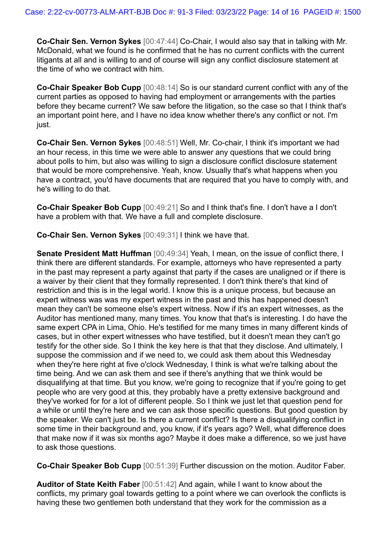**Co-Chair Sen. Vernon Sykes** [00:47:44] Co-Chair, I would also say that in talking with Mr. McDonald, what we found is he confirmed that he has no current conflicts with the current litigants at all and is willing to and of course will sign any conflict disclosure statement at the time of who we contract with him.

**Co-Chair Speaker Bob Cupp** [00:48:14] So is our standard current conflict with any of the current parties as opposed to having had employment or arrangements with the parties before they became current? We saw before the litigation, so the case so that I think that's an important point here, and I have no idea know whether there's any conflict or not. I'm just.

**Co-Chair Sen. Vernon Sykes** [00:48:51] Well, Mr. Co-chair, I think it's important we had an hour recess, in this time we were able to answer any questions that we could bring about polls to him, but also was willing to sign a disclosure conflict disclosure statement that would be more comprehensive. Yeah, know. Usually that's what happens when you have a contract, you'd have documents that are required that you have to comply with, and he's willing to do that.

**Co-Chair Speaker Bob Cupp** [00:49:21] So and I think that's fine. I don't have a I don't have a problem with that. We have a full and complete disclosure.

**Co-Chair Sen. Vernon Sykes** [00:49:31] I think we have that.

**Senate President Matt Huffman** [00:49:34] Yeah, I mean, on the issue of conflict there, I think there are different standards. For example, attorneys who have represented a party in the past may represent a party against that party if the cases are unaligned or if there is a waiver by their client that they formally represented. I don't think there's that kind of restriction and this is in the legal world. I know this is a unique process, but because an expert witness was was my expert witness in the past and this has happened doesn't mean they can't be someone else's expert witness. Now if it's an expert witnesses, as the Auditor has mentioned many, many times. You know that that's is interesting. I do have the same expert CPA in Lima, Ohio. He's testified for me many times in many different kinds of cases, but in other expert witnesses who have testified, but it doesn't mean they can't go testify for the other side. So I think the key here is that that they disclose. And ultimately, I suppose the commission and if we need to, we could ask them about this Wednesday when they're here right at five o'clock Wednesday, I think is what we're talking about the time being. And we can ask them and see if there's anything that we think would be disqualifying at that time. But you know, we're going to recognize that if you're going to get people who are very good at this, they probably have a pretty extensive background and they've worked for for a lot of different people. So I think we just let that question pend for a while or until they're here and we can ask those specific questions. But good question by the speaker. We can't just be. Is there a current conflict? Is there a disqualifying conflict in some time in their background and, you know, if it's years ago? Well, what difference does that make now if it was six months ago? Maybe it does make a difference, so we just have to ask those questions.

**Co-Chair Speaker Bob Cupp** [00:51:39] Further discussion on the motion. Auditor Faber.

**Auditor of State Keith Faber** [00:51:42] And again, while I want to know about the conflicts, my primary goal towards getting to a point where we can overlook the conflicts is having these two gentlemen both understand that they work for the commission as a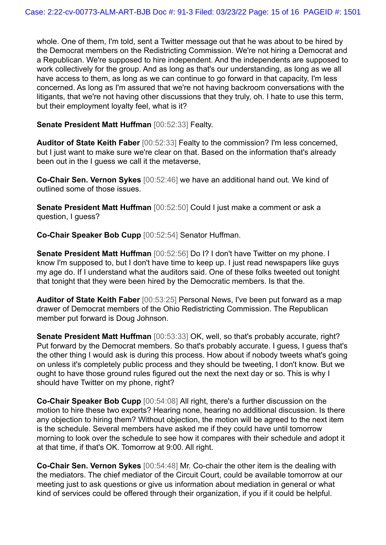whole. One of them, I'm told, sent a Twitter message out that he was about to be hired by the Democrat members on the Redistricting Commission. We're not hiring a Democrat and a Republican. We're supposed to hire independent. And the independents are supposed to work collectively for the group. And as long as that's our understanding, as long as we all have access to them, as long as we can continue to go forward in that capacity, I'm less concerned. As long as I'm assured that we're not having backroom conversations with the litigants, that we're not having other discussions that they truly, oh. I hate to use this term, but their employment loyalty feel, what is it?

**Senate President Matt Huffman** [00:52:33] Fealty.

**Auditor of State Keith Faber** [00:52:33] Fealty to the commission? I'm less concerned, but I just want to make sure we're clear on that. Based on the information that's already been out in the I guess we call it the metaverse,

**Co-Chair Sen. Vernon Sykes** [00:52:46] we have an additional hand out. We kind of outlined some of those issues.

**Senate President Matt Huffman** [00:52:50] Could I just make a comment or ask a question, I guess?

**Co-Chair Speaker Bob Cupp** [00:52:54] Senator Huffman.

**Senate President Matt Huffman** [00:52:56] Do I? I don't have Twitter on my phone. I know I'm supposed to, but I don't have time to keep up. I just read newspapers like guys my age do. If I understand what the auditors said. One of these folks tweeted out tonight that tonight that they were been hired by the Democratic members. Is that the.

**Auditor of State Keith Faber** [00:53:25] Personal News, I've been put forward as a map drawer of Democrat members of the Ohio Redistricting Commission. The Republican member put forward is Doug Johnson.

**Senate President Matt Huffman** [00:53:33] OK, well, so that's probably accurate, right? Put forward by the Democrat members. So that's probably accurate. I guess, I guess that's the other thing I would ask is during this process. How about if nobody tweets what's going on unless it's completely public process and they should be tweeting, I don't know. But we ought to have those ground rules figured out the next the next day or so. This is why I should have Twitter on my phone, right?

**Co-Chair Speaker Bob Cupp** [00:54:08] All right, there's a further discussion on the motion to hire these two experts? Hearing none, hearing no additional discussion. Is there any objection to hiring them? Without objection, the motion will be agreed to the next item is the schedule. Several members have asked me if they could have until tomorrow morning to look over the schedule to see how it compares with their schedule and adopt it at that time, if that's OK. Tomorrow at 9:00. All right.

**Co-Chair Sen. Vernon Sykes** [00:54:48] Mr. Co-chair the other item is the dealing with the mediators. The chief mediator of the Circuit Court, could be available tomorrow at our meeting just to ask questions or give us information about mediation in general or what kind of services could be offered through their organization, if you if it could be helpful.